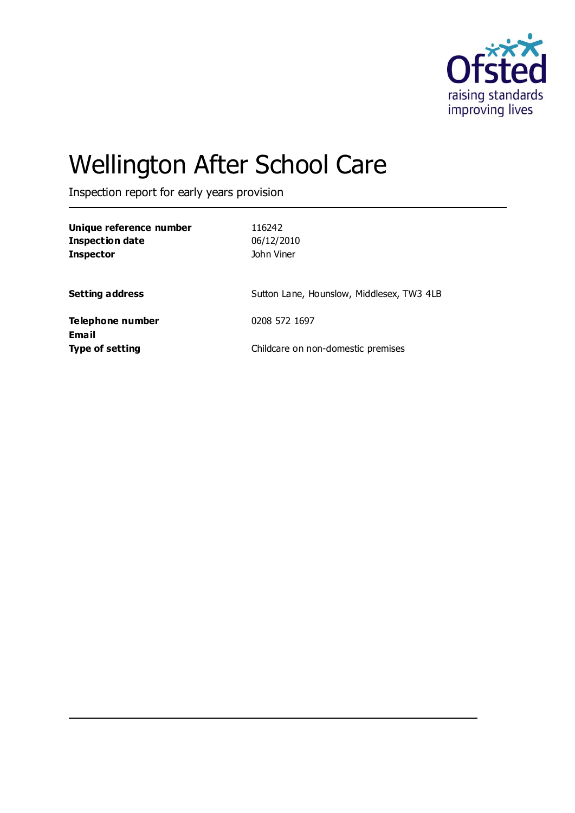

# Wellington After School Care

Inspection report for early years provision

| Unique reference number<br><b>Inspection date</b><br><b>Inspector</b> | 116242<br>06/12/2010<br>John Viner        |
|-----------------------------------------------------------------------|-------------------------------------------|
| <b>Setting address</b>                                                | Sutton Lane, Hounslow, Middlesex, TW3 4LB |
| Telephone number                                                      | 0208 572 1697                             |
| <b>Email</b><br><b>Type of setting</b>                                | Childcare on non-domestic premises        |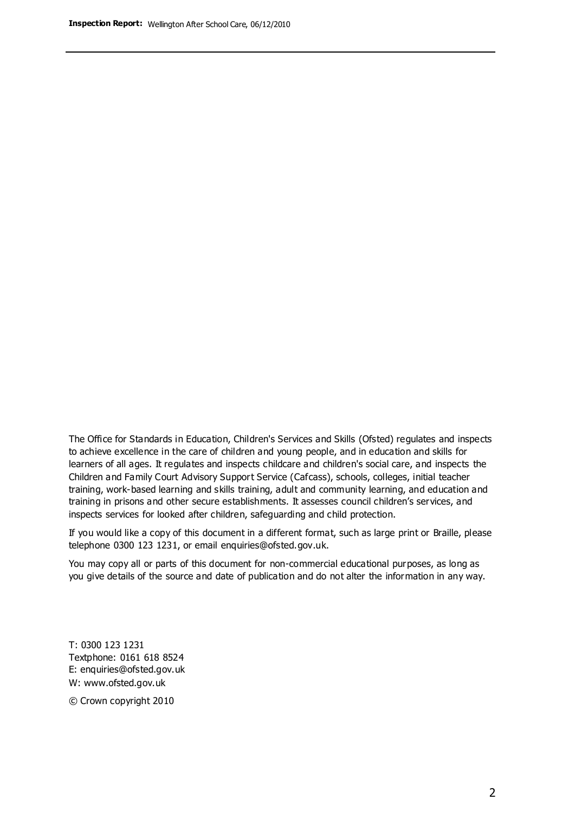The Office for Standards in Education, Children's Services and Skills (Ofsted) regulates and inspects to achieve excellence in the care of children and young people, and in education and skills for learners of all ages. It regulates and inspects childcare and children's social care, and inspects the Children and Family Court Advisory Support Service (Cafcass), schools, colleges, initial teacher training, work-based learning and skills training, adult and community learning, and education and training in prisons and other secure establishments. It assesses council children's services, and inspects services for looked after children, safeguarding and child protection.

If you would like a copy of this document in a different format, such as large print or Braille, please telephone 0300 123 1231, or email enquiries@ofsted.gov.uk.

You may copy all or parts of this document for non-commercial educational purposes, as long as you give details of the source and date of publication and do not alter the information in any way.

T: 0300 123 1231 Textphone: 0161 618 8524 E: enquiries@ofsted.gov.uk W: [www.ofsted.gov.uk](http://www.ofsted.gov.uk/)

© Crown copyright 2010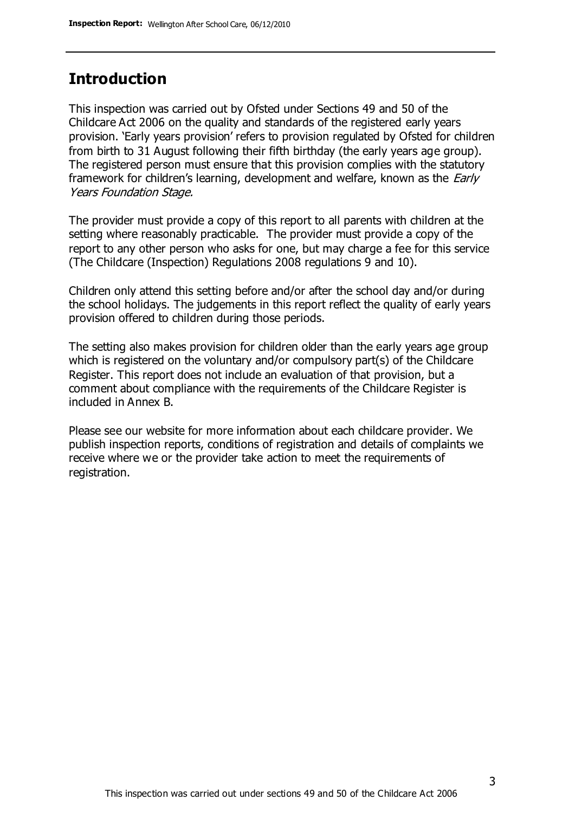# **Introduction**

This inspection was carried out by Ofsted under Sections 49 and 50 of the Childcare Act 2006 on the quality and standards of the registered early years provision. 'Early years provision' refers to provision regulated by Ofsted for children from birth to 31 August following their fifth birthday (the early years age group). The registered person must ensure that this provision complies with the statutory framework for children's learning, development and welfare, known as the *Early* Years Foundation Stage.

The provider must provide a copy of this report to all parents with children at the setting where reasonably practicable. The provider must provide a copy of the report to any other person who asks for one, but may charge a fee for this service (The Childcare (Inspection) Regulations 2008 regulations 9 and 10).

Children only attend this setting before and/or after the school day and/or during the school holidays. The judgements in this report reflect the quality of early years provision offered to children during those periods.

The setting also makes provision for children older than the early years age group which is registered on the voluntary and/or compulsory part(s) of the Childcare Register. This report does not include an evaluation of that provision, but a comment about compliance with the requirements of the Childcare Register is included in Annex B.

Please see our website for more information about each childcare provider. We publish inspection reports, conditions of registration and details of complaints we receive where we or the provider take action to meet the requirements of registration.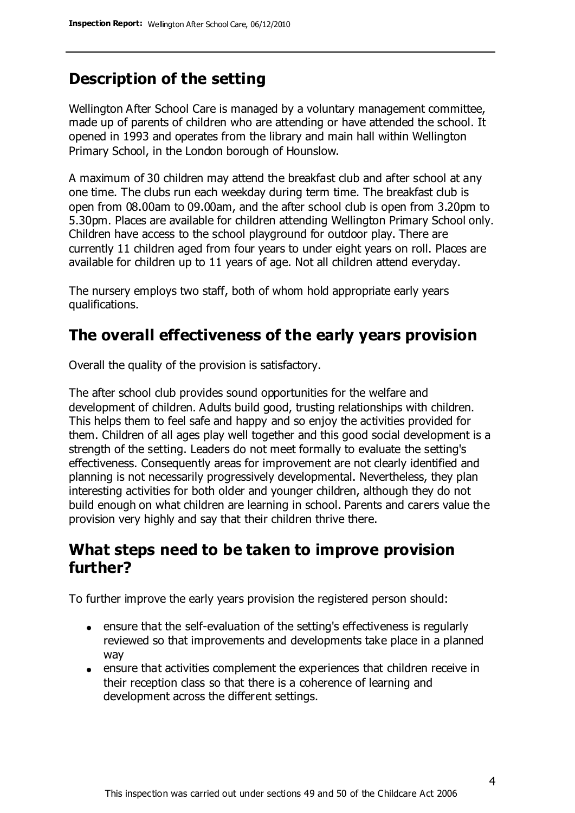# **Description of the setting**

Wellington After School Care is managed by a voluntary management committee, made up of parents of children who are attending or have attended the school. It opened in 1993 and operates from the library and main hall within Wellington Primary School, in the London borough of Hounslow.

A maximum of 30 children may attend the breakfast club and after school at any one time. The clubs run each weekday during term time. The breakfast club is open from 08.00am to 09.00am, and the after school club is open from 3.20pm to 5.30pm. Places are available for children attending Wellington Primary School only. Children have access to the school playground for outdoor play. There are currently 11 children aged from four years to under eight years on roll. Places are available for children up to 11 years of age. Not all children attend everyday.

The nursery employs two staff, both of whom hold appropriate early years qualifications.

# **The overall effectiveness of the early years provision**

Overall the quality of the provision is satisfactory.

The after school club provides sound opportunities for the welfare and development of children. Adults build good, trusting relationships with children. This helps them to feel safe and happy and so enjoy the activities provided for them. Children of all ages play well together and this good social development is a strength of the setting. Leaders do not meet formally to evaluate the setting's effectiveness. Consequently areas for improvement are not clearly identified and planning is not necessarily progressively developmental. Nevertheless, they plan interesting activities for both older and younger children, although they do not build enough on what children are learning in school. Parents and carers value the provision very highly and say that their children thrive there.

# **What steps need to be taken to improve provision further?**

To further improve the early years provision the registered person should:

- ensure that the self-evaluation of the setting's effectiveness is regularly reviewed so that improvements and developments take place in a planned way
- ensure that activities complement the experiences that children receive in their reception class so that there is a coherence of learning and development across the different settings.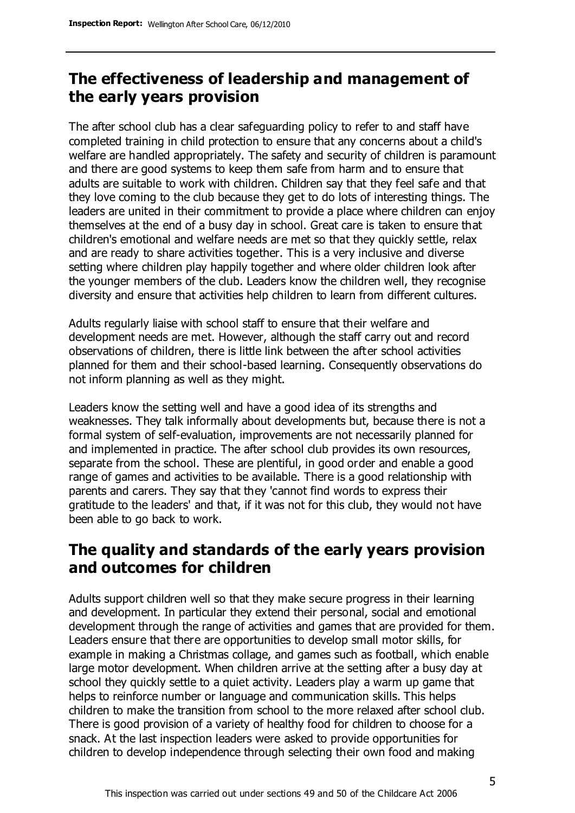# **The effectiveness of leadership and management of the early years provision**

The after school club has a clear safeguarding policy to refer to and staff have completed training in child protection to ensure that any concerns about a child's welfare are handled appropriately. The safety and security of children is paramount and there are good systems to keep them safe from harm and to ensure that adults are suitable to work with children. Children say that they feel safe and that they love coming to the club because they get to do lots of interesting things. The leaders are united in their commitment to provide a place where children can enjoy themselves at the end of a busy day in school. Great care is taken to ensure that children's emotional and welfare needs are met so that they quickly settle, relax and are ready to share activities together. This is a very inclusive and diverse setting where children play happily together and where older children look after the younger members of the club. Leaders know the children well, they recognise diversity and ensure that activities help children to learn from different cultures.

Adults regularly liaise with school staff to ensure that their welfare and development needs are met. However, although the staff carry out and record observations of children, there is little link between the after school activities planned for them and their school-based learning. Consequently observations do not inform planning as well as they might.

Leaders know the setting well and have a good idea of its strengths and weaknesses. They talk informally about developments but, because there is not a formal system of self-evaluation, improvements are not necessarily planned for and implemented in practice. The after school club provides its own resources, separate from the school. These are plentiful, in good order and enable a good range of games and activities to be available. There is a good relationship with parents and carers. They say that they 'cannot find words to express their gratitude to the leaders' and that, if it was not for this club, they would not have been able to go back to work.

# **The quality and standards of the early years provision and outcomes for children**

Adults support children well so that they make secure progress in their learning and development. In particular they extend their personal, social and emotional development through the range of activities and games that are provided for them. Leaders ensure that there are opportunities to develop small motor skills, for example in making a Christmas collage, and games such as football, which enable large motor development. When children arrive at the setting after a busy day at school they quickly settle to a quiet activity. Leaders play a warm up game that helps to reinforce number or language and communication skills. This helps children to make the transition from school to the more relaxed after school club. There is good provision of a variety of healthy food for children to choose for a snack. At the last inspection leaders were asked to provide opportunities for children to develop independence through selecting their own food and making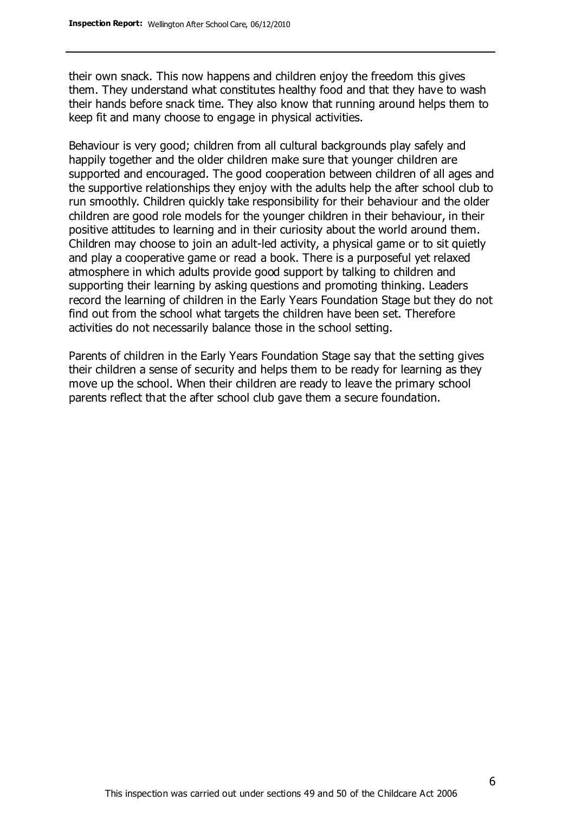their own snack. This now happens and children enjoy the freedom this gives them. They understand what constitutes healthy food and that they have to wash their hands before snack time. They also know that running around helps them to keep fit and many choose to engage in physical activities.

Behaviour is very good; children from all cultural backgrounds play safely and happily together and the older children make sure that younger children are supported and encouraged. The good cooperation between children of all ages and the supportive relationships they enjoy with the adults help the after school club to run smoothly. Children quickly take responsibility for their behaviour and the older children are good role models for the younger children in their behaviour, in their positive attitudes to learning and in their curiosity about the world around them. Children may choose to join an adult-led activity, a physical game or to sit quietly and play a cooperative game or read a book. There is a purposeful yet relaxed atmosphere in which adults provide good support by talking to children and supporting their learning by asking questions and promoting thinking. Leaders record the learning of children in the Early Years Foundation Stage but they do not find out from the school what targets the children have been set. Therefore activities do not necessarily balance those in the school setting.

Parents of children in the Early Years Foundation Stage say that the setting gives their children a sense of security and helps them to be ready for learning as they move up the school. When their children are ready to leave the primary school parents reflect that the after school club gave them a secure foundation.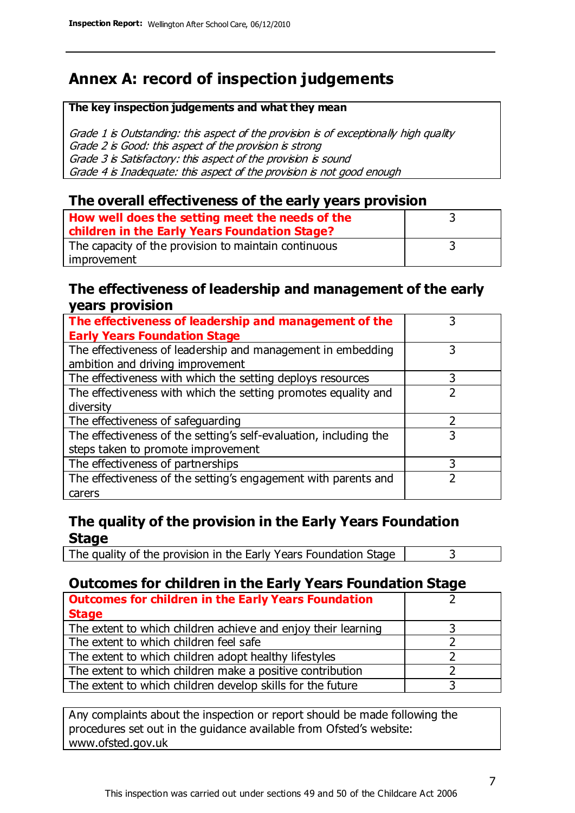# **Annex A: record of inspection judgements**

#### **The key inspection judgements and what they mean**

Grade 1 is Outstanding: this aspect of the provision is of exceptionally high quality Grade 2 is Good: this aspect of the provision is strong Grade 3 is Satisfactory: this aspect of the provision is sound Grade 4 is Inadequate: this aspect of the provision is not good enough

### **The overall effectiveness of the early years provision**

| How well does the setting meet the needs of the<br>children in the Early Years Foundation Stage? |  |
|--------------------------------------------------------------------------------------------------|--|
| The capacity of the provision to maintain continuous                                             |  |
| improvement                                                                                      |  |

### **The effectiveness of leadership and management of the early years provision**

| The effectiveness of leadership and management of the             |   |
|-------------------------------------------------------------------|---|
| <b>Early Years Foundation Stage</b>                               |   |
| The effectiveness of leadership and management in embedding       | 3 |
| ambition and driving improvement                                  |   |
| The effectiveness with which the setting deploys resources        | 3 |
| The effectiveness with which the setting promotes equality and    |   |
| diversity                                                         |   |
| The effectiveness of safeguarding                                 |   |
| The effectiveness of the setting's self-evaluation, including the | 3 |
| steps taken to promote improvement                                |   |
| The effectiveness of partnerships                                 | 3 |
| The effectiveness of the setting's engagement with parents and    |   |
| carers                                                            |   |

## **The quality of the provision in the Early Years Foundation Stage**

The quality of the provision in the Early Years Foundation Stage  $\vert$  3

## **Outcomes for children in the Early Years Foundation Stage**

| <b>Outcomes for children in the Early Years Foundation</b>    |  |
|---------------------------------------------------------------|--|
| <b>Stage</b>                                                  |  |
| The extent to which children achieve and enjoy their learning |  |
| The extent to which children feel safe                        |  |
| The extent to which children adopt healthy lifestyles         |  |
| The extent to which children make a positive contribution     |  |
| The extent to which children develop skills for the future    |  |

Any complaints about the inspection or report should be made following the procedures set out in the guidance available from Ofsted's website: www.ofsted.gov.uk